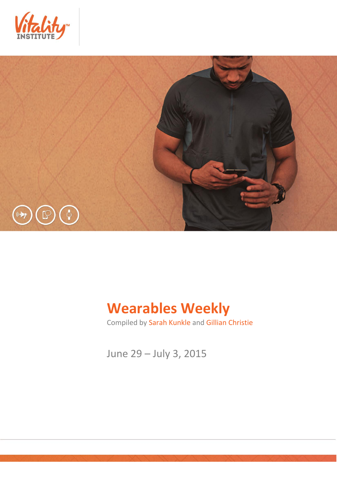



# **Wearables Weekly**

Compiled by Sarah Kunkle and Gillian Christie

June 29 – July 3, 2015